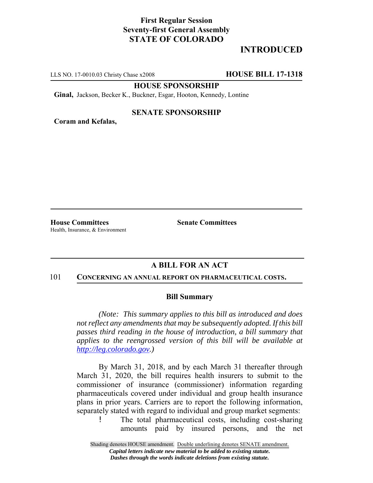## **First Regular Session Seventy-first General Assembly STATE OF COLORADO**

# **INTRODUCED**

LLS NO. 17-0010.03 Christy Chase x2008 **HOUSE BILL 17-1318**

**HOUSE SPONSORSHIP**

**Ginal,** Jackson, Becker K., Buckner, Esgar, Hooton, Kennedy, Lontine

### **SENATE SPONSORSHIP**

**Coram and Kefalas,**

**House Committees Senate Committees** Health, Insurance, & Environment

## **A BILL FOR AN ACT**

#### 101 **CONCERNING AN ANNUAL REPORT ON PHARMACEUTICAL COSTS.**

#### **Bill Summary**

*(Note: This summary applies to this bill as introduced and does not reflect any amendments that may be subsequently adopted. If this bill passes third reading in the house of introduction, a bill summary that applies to the reengrossed version of this bill will be available at http://leg.colorado.gov.)*

By March 31, 2018, and by each March 31 thereafter through March 31, 2020, the bill requires health insurers to submit to the commissioner of insurance (commissioner) information regarding pharmaceuticals covered under individual and group health insurance plans in prior years. Carriers are to report the following information, separately stated with regard to individual and group market segments:

! The total pharmaceutical costs, including cost-sharing amounts paid by insured persons, and the net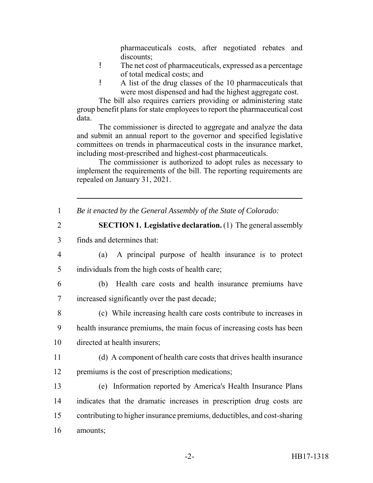pharmaceuticals costs, after negotiated rebates and discounts;

- ! The net cost of pharmaceuticals, expressed as a percentage of total medical costs; and
- ! A list of the drug classes of the 10 pharmaceuticals that were most dispensed and had the highest aggregate cost.

The bill also requires carriers providing or administering state group benefit plans for state employees to report the pharmaceutical cost data.

The commissioner is directed to aggregate and analyze the data and submit an annual report to the governor and specified legislative committees on trends in pharmaceutical costs in the insurance market, including most-prescribed and highest-cost pharmaceuticals.

The commissioner is authorized to adopt rules as necessary to implement the requirements of the bill. The reporting requirements are repealed on January 31, 2021.

| $\mathbf{1}$   | Be it enacted by the General Assembly of the State of Colorado:          |
|----------------|--------------------------------------------------------------------------|
| $\overline{2}$ | <b>SECTION 1. Legislative declaration.</b> (1) The general assembly      |
| 3              | finds and determines that:                                               |
| $\overline{4}$ | A principal purpose of health insurance is to protect<br>(a)             |
| 5              | individuals from the high costs of health care;                          |
| 6              | Health care costs and health insurance premiums have<br>(b)              |
| $\overline{7}$ | increased significantly over the past decade;                            |
| 8              | (c) While increasing health care costs contribute to increases in        |
| 9              | health insurance premiums, the main focus of increasing costs has been   |
| 10             | directed at health insurers;                                             |
| 11             | (d) A component of health care costs that drives health insurance        |
| 12             | premiums is the cost of prescription medications;                        |
| 13             | (e) Information reported by America's Health Insurance Plans             |
| 14             | indicates that the dramatic increases in prescription drug costs are     |
| 15             | contributing to higher insurance premiums, deductibles, and cost-sharing |
| 16             | amounts;                                                                 |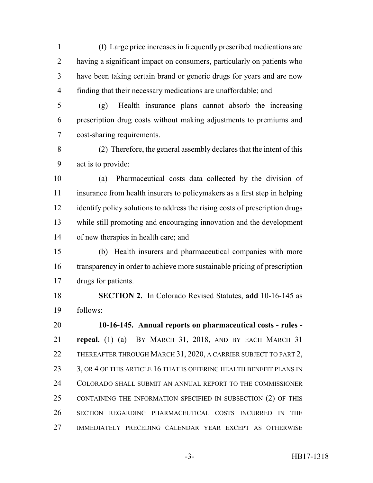(f) Large price increases in frequently prescribed medications are having a significant impact on consumers, particularly on patients who have been taking certain brand or generic drugs for years and are now finding that their necessary medications are unaffordable; and

 (g) Health insurance plans cannot absorb the increasing prescription drug costs without making adjustments to premiums and cost-sharing requirements.

 (2) Therefore, the general assembly declares that the intent of this act is to provide:

 (a) Pharmaceutical costs data collected by the division of insurance from health insurers to policymakers as a first step in helping identify policy solutions to address the rising costs of prescription drugs while still promoting and encouraging innovation and the development of new therapies in health care; and

 (b) Health insurers and pharmaceutical companies with more transparency in order to achieve more sustainable pricing of prescription drugs for patients.

 **SECTION 2.** In Colorado Revised Statutes, **add** 10-16-145 as follows:

 **10-16-145. Annual reports on pharmaceutical costs - rules - repeal.** (1) (a) BY MARCH 31, 2018, AND BY EACH MARCH 31 22 THEREAFTER THROUGH MARCH 31, 2020, A CARRIER SUBJECT TO PART 2, 23 3, OR 4 OF THIS ARTICLE 16 THAT IS OFFERING HEALTH BENEFIT PLANS IN COLORADO SHALL SUBMIT AN ANNUAL REPORT TO THE COMMISSIONER CONTAINING THE INFORMATION SPECIFIED IN SUBSECTION (2) OF THIS SECTION REGARDING PHARMACEUTICAL COSTS INCURRED IN THE IMMEDIATELY PRECEDING CALENDAR YEAR EXCEPT AS OTHERWISE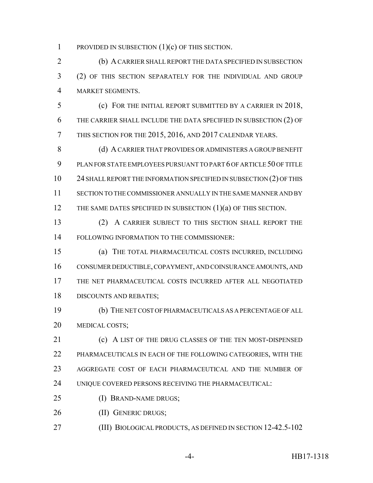PROVIDED IN SUBSECTION (1)(c) OF THIS SECTION.

 (b) A CARRIER SHALL REPORT THE DATA SPECIFIED IN SUBSECTION (2) OF THIS SECTION SEPARATELY FOR THE INDIVIDUAL AND GROUP MARKET SEGMENTS.

 (c) FOR THE INITIAL REPORT SUBMITTED BY A CARRIER IN 2018, THE CARRIER SHALL INCLUDE THE DATA SPECIFIED IN SUBSECTION (2) OF THIS SECTION FOR THE 2015, 2016, AND 2017 CALENDAR YEARS.

8 (d) A CARRIER THAT PROVIDES OR ADMINISTERS A GROUP BENEFIT PLAN FOR STATE EMPLOYEES PURSUANT TO PART 6 OF ARTICLE 50 OF TITLE 24 SHALL REPORT THE INFORMATION SPECIFIED IN SUBSECTION (2) OF THIS SECTION TO THE COMMISSIONER ANNUALLY IN THE SAME MANNER AND BY 12 THE SAME DATES SPECIFIED IN SUBSECTION (1)(a) OF THIS SECTION.

 (2) A CARRIER SUBJECT TO THIS SECTION SHALL REPORT THE FOLLOWING INFORMATION TO THE COMMISSIONER:

 (a) THE TOTAL PHARMACEUTICAL COSTS INCURRED, INCLUDING CONSUMER DEDUCTIBLE, COPAYMENT, AND COINSURANCE AMOUNTS, AND THE NET PHARMACEUTICAL COSTS INCURRED AFTER ALL NEGOTIATED DISCOUNTS AND REBATES;

 (b) THE NET COST OF PHARMACEUTICALS AS A PERCENTAGE OF ALL MEDICAL COSTS;

21 (c) A LIST OF THE DRUG CLASSES OF THE TEN MOST-DISPENSED PHARMACEUTICALS IN EACH OF THE FOLLOWING CATEGORIES, WITH THE AGGREGATE COST OF EACH PHARMACEUTICAL AND THE NUMBER OF UNIQUE COVERED PERSONS RECEIVING THE PHARMACEUTICAL:

- (I) BRAND-NAME DRUGS;
- 26 (II) GENERIC DRUGS;
- (III) BIOLOGICAL PRODUCTS, AS DEFINED IN SECTION 12-42.5-102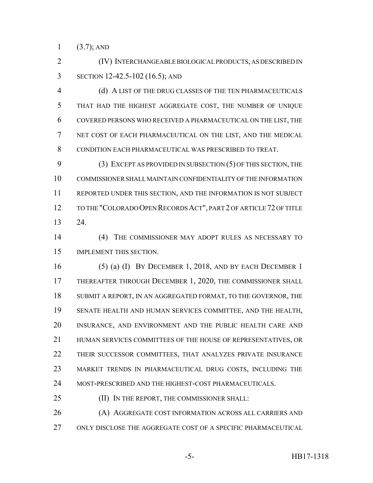1  $(3.7)$ ; AND

 (IV) INTERCHANGEABLE BIOLOGICAL PRODUCTS, AS DESCRIBED IN SECTION 12-42.5-102 (16.5); AND

 (d) A LIST OF THE DRUG CLASSES OF THE TEN PHARMACEUTICALS THAT HAD THE HIGHEST AGGREGATE COST, THE NUMBER OF UNIQUE COVERED PERSONS WHO RECEIVED A PHARMACEUTICAL ON THE LIST, THE NET COST OF EACH PHARMACEUTICAL ON THE LIST, AND THE MEDICAL CONDITION EACH PHARMACEUTICAL WAS PRESCRIBED TO TREAT.

 (3) EXCEPT AS PROVIDED IN SUBSECTION (5) OF THIS SECTION, THE COMMISSIONER SHALL MAINTAIN CONFIDENTIALITY OF THE INFORMATION REPORTED UNDER THIS SECTION, AND THE INFORMATION IS NOT SUBJECT TO THE "COLORADO OPEN RECORDS ACT", PART 2 OF ARTICLE 72 OF TITLE 24.

 (4) THE COMMISSIONER MAY ADOPT RULES AS NECESSARY TO IMPLEMENT THIS SECTION.

 (5) (a) (I) BY DECEMBER 1, 2018, AND BY EACH DECEMBER 1 17 THEREAFTER THROUGH DECEMBER 1, 2020, THE COMMISSIONER SHALL SUBMIT A REPORT, IN AN AGGREGATED FORMAT, TO THE GOVERNOR, THE SENATE HEALTH AND HUMAN SERVICES COMMITTEE, AND THE HEALTH, INSURANCE, AND ENVIRONMENT AND THE PUBLIC HEALTH CARE AND HUMAN SERVICES COMMITTEES OF THE HOUSE OF REPRESENTATIVES, OR THEIR SUCCESSOR COMMITTEES, THAT ANALYZES PRIVATE INSURANCE MARKET TRENDS IN PHARMACEUTICAL DRUG COSTS, INCLUDING THE 24 MOST-PRESCRIBED AND THE HIGHEST-COST PHARMACEUTICALS.

25 (II) IN THE REPORT, THE COMMISSIONER SHALL:

 (A) AGGREGATE COST INFORMATION ACROSS ALL CARRIERS AND ONLY DISCLOSE THE AGGREGATE COST OF A SPECIFIC PHARMACEUTICAL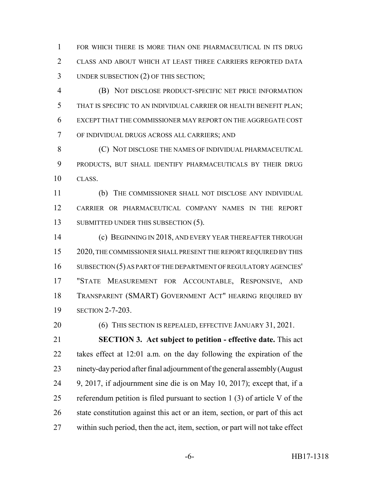FOR WHICH THERE IS MORE THAN ONE PHARMACEUTICAL IN ITS DRUG CLASS AND ABOUT WHICH AT LEAST THREE CARRIERS REPORTED DATA UNDER SUBSECTION (2) OF THIS SECTION;

 (B) NOT DISCLOSE PRODUCT-SPECIFIC NET PRICE INFORMATION THAT IS SPECIFIC TO AN INDIVIDUAL CARRIER OR HEALTH BENEFIT PLAN; EXCEPT THAT THE COMMISSIONER MAY REPORT ON THE AGGREGATE COST OF INDIVIDUAL DRUGS ACROSS ALL CARRIERS; AND

**(C) NOT DISCLOSE THE NAMES OF INDIVIDUAL PHARMACEUTICAL**  PRODUCTS, BUT SHALL IDENTIFY PHARMACEUTICALS BY THEIR DRUG CLASS.

 (b) THE COMMISSIONER SHALL NOT DISCLOSE ANY INDIVIDUAL CARRIER OR PHARMACEUTICAL COMPANY NAMES IN THE REPORT 13 SUBMITTED UNDER THIS SUBSECTION (5).

**(c) BEGINNING IN 2018, AND EVERY YEAR THEREAFTER THROUGH**  2020, THE COMMISSIONER SHALL PRESENT THE REPORT REQUIRED BY THIS SUBSECTION (5) AS PART OF THE DEPARTMENT OF REGULATORY AGENCIES' "STATE MEASUREMENT FOR ACCOUNTABLE, RESPONSIVE, AND TRANSPARENT (SMART) GOVERNMENT ACT" HEARING REQUIRED BY SECTION 2-7-203.

20 (6) THIS SECTION IS REPEALED, EFFECTIVE JANUARY 31, 2021.

 **SECTION 3. Act subject to petition - effective date.** This act takes effect at 12:01 a.m. on the day following the expiration of the ninety-day period after final adjournment of the general assembly (August 9, 2017, if adjournment sine die is on May 10, 2017); except that, if a referendum petition is filed pursuant to section 1 (3) of article V of the state constitution against this act or an item, section, or part of this act within such period, then the act, item, section, or part will not take effect